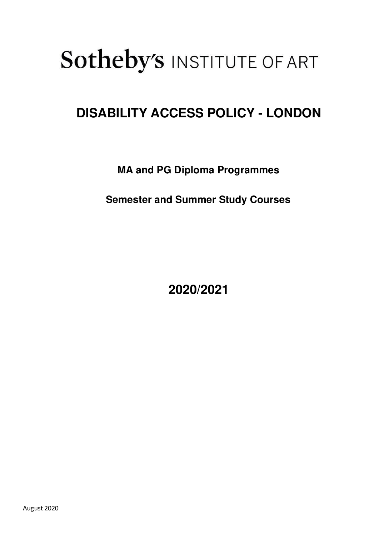# Sotheby's INSTITUTE OF ART

# **DISABILITY ACCESS POLICY - LONDON**

**MA and PG Diploma Programmes** 

**Semester and Summer Study Courses** 

**2020/2021**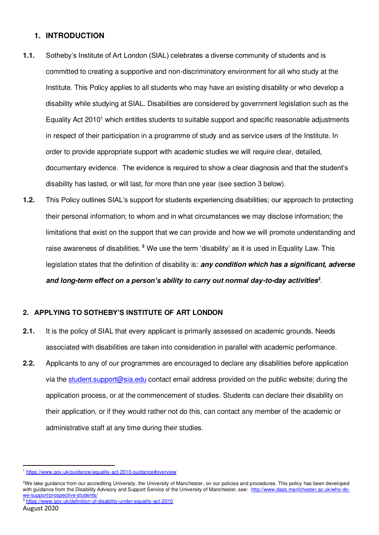# **1. INTRODUCTION**

- **1.1.** Sotheby's Institute of Art London (SIAL) celebrates a diverse community of students and is committed to creating a supportive and non-discriminatory environment for all who study at the Institute. This Policy applies to all students who may have an existing disability or who develop a disability while studying at SIAL. Disabilities are considered by government legislation such as the Equality Act 2010<sup>1</sup> which entitles students to suitable support and specific reasonable adjustments in respect of their participation in a programme of study and as service users of the Institute. In order to provide appropriate support with academic studies we will require clear, detailed, documentary evidence. The evidence is required to show a clear diagnosis and that the student's disability has lasted, or will last, for more than one year (see section 3 below).
- **1.2.** This Policy outlines SIAL's support for students experiencing disabilities; our approach to protecting their personal information; to whom and in what circumstances we may disclose information; the limitations that exist on the support that we can provide and how we will promote understanding and raise awareness of disabilities.**<sup>2</sup>** We use the term 'disability' as it is used in Equality Law. This legislation states that the definition of disability is: **any condition which has a significant, adverse and long-***term effect on a person's ability to carry out normal day***-to-day activities<sup>3</sup>** .

# **2. APPLYING TO SOTHEBY'S INSTITUTE OF ART LONDON**

- **2.1.** It is the policy of SIAL that every applicant is primarily assessed on academic grounds. Needs associated with disabilities are taken into consideration in parallel with academic performance.
- **2.2.** Applicants to any of our programmes are encouraged to declare any disabilities before application via the [student.support@sia.edu](mailto:student.support@sia.edu) contact email address provided on the public website; during the application process, or at the commencement of studies. Students can declare their disability on their application, or if they would rather not do this, can contact any member of the academic or administrative staff at any time during their studies.

<sup>3</sup> <https://www.gov.uk/definition-of-disability-under-equality-act-2010>

<sup>1</sup> <https://www.gov.uk/guidance/equality-act-2010-guidance#overview>

<sup>&</sup>lt;sup>2</sup>We take guidance from our accrediting University, the University of Manchester, on our policies and procedures. This policy has been developed with guidance from the Disability Advisory and Support Service of the University of Manchester, see: [http://www.dass.manIchester.ac.uk/who-do](http://www.dass.manichester.ac.uk/who-do-we-support/prospective-students/)[we-support/prospective-students/](http://www.dass.manichester.ac.uk/who-do-we-support/prospective-students/)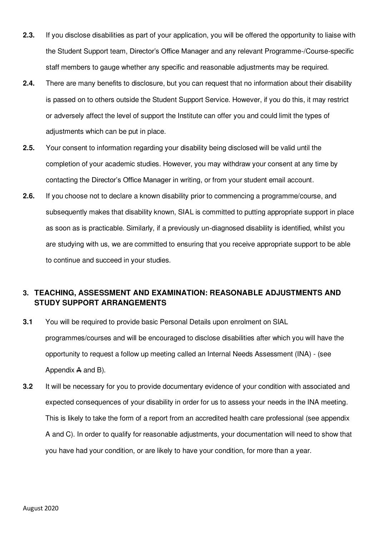- **2.3.** If you disclose disabilities as part of your application, you will be offered the opportunity to liaise with the Student Support team, Director's Office Manager and any relevant Programme-/Course-specific staff members to gauge whether any specific and reasonable adjustments may be required.
- **2.4.** There are many benefits to disclosure, but you can request that no information about their disability is passed on to others outside the Student Support Service. However, if you do this, it may restrict or adversely affect the level of support the Institute can offer you and could limit the types of adjustments which can be put in place.
- **2.5.** Your consent to information regarding your disability being disclosed will be valid until the completion of your academic studies. However, you may withdraw your consent at any time by contacting the Director's Office Manager in writing, or from your student email account.
- **2.6.** If you choose not to declare a known disability prior to commencing a programme/course, and subsequently makes that disability known, SIAL is committed to putting appropriate support in place as soon as is practicable. Similarly, if a previously un-diagnosed disability is identified, whilst you are studying with us, we are committed to ensuring that you receive appropriate support to be able to continue and succeed in your studies.

# **3. TEACHING, ASSESSMENT AND EXAMINATION: REASONABLE ADJUSTMENTS AND STUDY SUPPORT ARRANGEMENTS**

- **3.1** You will be required to provide basic Personal Details upon enrolment on SIAL programmes/courses and will be encouraged to disclose disabilities after which you will have the opportunity to request a follow up meeting called an Internal Needs Assessment (INA) - (see Appendix A and B).
- **3.2** It will be necessary for you to provide documentary evidence of your condition with associated and expected consequences of your disability in order for us to assess your needs in the INA meeting. This is likely to take the form of a report from an accredited health care professional (see appendix A and C). In order to qualify for reasonable adjustments, your documentation will need to show that you have had your condition, or are likely to have your condition, for more than a year.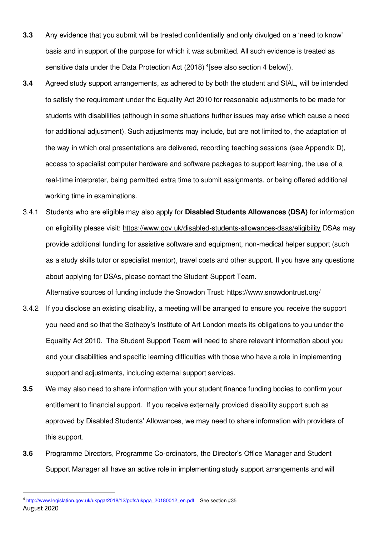- **3.3** Any evidence that you submit will be treated confidentially and only divulged on a 'need to know' basis and in support of the purpose for which it was submitted. All such evidence is treated as sensitive data under the Data Protection Act (2018) <sup>4</sup> [see also section 4 below]).
- **3.4** Agreed study support arrangements, as adhered to by both the student and SIAL, will be intended to satisfy the requirement under the Equality Act 2010 for reasonable adjustments to be made for students with disabilities (although in some situations further issues may arise which cause a need for additional adjustment). Such adjustments may include, but are not limited to, the adaptation of the way in which oral presentations are delivered, recording teaching sessions (see Appendix D), access to specialist computer hardware and software packages to support learning, the use of a real-time interpreter, being permitted extra time to submit assignments, or being offered additional working time in examinations.
- 3.4.1 Students who are eligible may also apply for **Disabled Students Allowances (DSA)** for information on eligibility please visit:<https://www.gov.uk/disabled-students-allowances-dsas/eligibility>DSAs may provide additional funding for assistive software and equipment, non-medical helper support (such as a study skills tutor or specialist mentor), travel costs and other support. If you have any questions about applying for DSAs, please contact the Student Support Team. Alternative sources of funding include the Snowdon Trust:<https://www.snowdontrust.org/>
- 3.4.2 If you disclose an existing disability, a meeting will be arranged to ensure you receive the support you need and so that the Sotheby's Institute of Art London meets its obligations to you under the Equality Act 2010. The Student Support Team will need to share relevant information about you and your disabilities and specific learning difficulties with those who have a role in implementing support and adjustments, including external support services.
- **3.5** We may also need to share information with your student finance funding bodies to confirm your entitlement to financial support. If you receive externally provided disability support such as approved by Disabled Students' Allowances, we may need to share information with providers of this support.
- **3.6** Programme Directors, Programme Co-ordinators, the Director's Office Manager and Student Support Manager all have an active role in implementing study support arrangements and will

August 2020 <sup>4</sup> [http://www.legislation.gov.uk/ukpga/2018/12/pdfs/ukpga\\_20180012\\_en.pdf](http://www.legislation.gov.uk/ukpga/2018/12/pdfs/ukpga_20180012_en.pdf) See section #35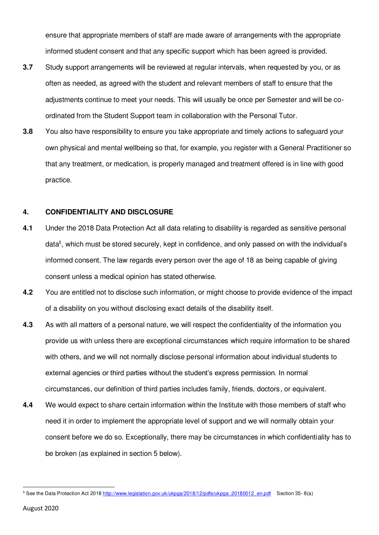ensure that appropriate members of staff are made aware of arrangements with the appropriate informed student consent and that any specific support which has been agreed is provided.

- **3.7** Study support arrangements will be reviewed at regular intervals, when requested by you, or as often as needed, as agreed with the student and relevant members of staff to ensure that the adjustments continue to meet your needs. This will usually be once per Semester and will be coordinated from the Student Support team in collaboration with the Personal Tutor.
- **3.8** You also have responsibility to ensure you take appropriate and timely actions to safeguard your own physical and mental wellbeing so that, for example, you register with a General Practitioner so that any treatment, or medication, is properly managed and treatment offered is in line with good practice.

#### **4. CONFIDENTIALITY AND DISCLOSURE**

- **4.1** Under the 2018 Data Protection Act all data relating to disability is regarded as sensitive personal data $^5$ , which must be stored securely, kept in confidence, and only passed on with the individual's informed consent. The law regards every person over the age of 18 as being capable of giving consent unless a medical opinion has stated otherwise.
- **4.2** You are entitled not to disclose such information, or might choose to provide evidence of the impact of a disability on you without disclosing exact details of the disability itself.
- **4.3** As with all matters of a personal nature, we will respect the confidentiality of the information you provide us with unless there are exceptional circumstances which require information to be shared with others, and we will not normally disclose personal information about individual students to external agencies or third parties without the student's express permission. In normal circumstances, our definition of third parties includes family, friends, doctors, or equivalent.
- **4.4** We would expect to share certain information within the Institute with those members of staff who need it in order to implement the appropriate level of support and we will normally obtain your consent before we do so. Exceptionally, there may be circumstances in which confidentiality has to be broken (as explained in section 5 below).

<sup>&</sup>lt;sup>5</sup> See the Data Protection Act 2018 [http://www.legislation.gov.uk/ukpga/2018/12/pdfs/ukpga\\_20180012\\_en.pdf](http://www.legislation.gov.uk/ukpga/2018/12/pdfs/ukpga_20180012_en.pdf) Section 35-8(a)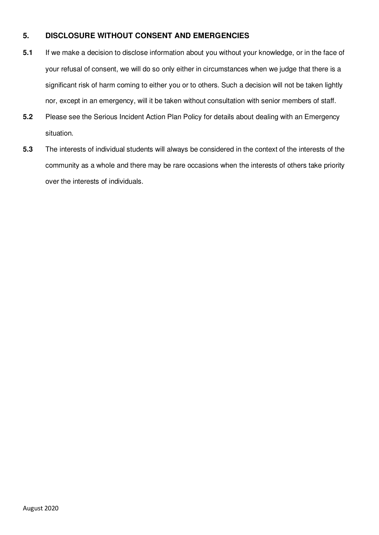# **5. DISCLOSURE WITHOUT CONSENT AND EMERGENCIES**

- **5.1** If we make a decision to disclose information about you without your knowledge, or in the face of your refusal of consent, we will do so only either in circumstances when we judge that there is a significant risk of harm coming to either you or to others. Such a decision will not be taken lightly nor, except in an emergency, will it be taken without consultation with senior members of staff.
- **5.2** Please see the Serious Incident Action Plan Policy for details about dealing with an Emergency situation.
- **5.3** The interests of individual students will always be considered in the context of the interests of the community as a whole and there may be rare occasions when the interests of others take priority over the interests of individuals.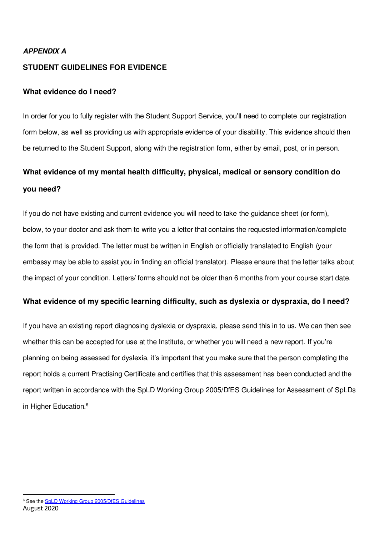#### **APPENDIX A**

### **STUDENT GUIDELINES FOR EVIDENCE**

#### **What evidence do I need?**

In order for you to fully register with the Student Support Service, you'll need to complete [our registration](http://documents.manchester.ac.uk/display.aspx?DocID=16397)  [form](http://documents.manchester.ac.uk/display.aspx?DocID=16397) below, as well as providing us with appropriate evidence of your disability. This evidence should then be returned to the Student Support, along with the registration form, either by email, post, or in person.

# **What evidence of my mental health difficulty, physical, medical or sensory condition do you need?**

If you do not have existing and current evidence you will need to take [the guidance sheet](http://documents.manchester.ac.uk/display.aspx?DocID=24213) (or form), below, to your doctor and ask them to write you a letter that contains the requested information/complete the form that is provided. The letter must be written in English or officially translated to English (your embassy may be able to assist you in finding an official translator). Please ensure that the letter talks about the impact of your condition. Letters/ forms should not be older than 6 months from your course start date.

#### **What evidence of my specific learning difficulty, such as dyslexia or dyspraxia, do I need?**

If you have an existing report diagnosing dyslexia or dyspraxia, please send this in to us. We can then see whether this can be accepted for use at the Institute, or whether you will need a new report. If you're planning on being assessed for dyslexia, it's important that you make sure that the person completing the report holds a current Practising Certificate and certifies that this assessment has been conducted and the report written in accordance with the SpLD Working Group 2005/DfES Guidelines for Assessment of SpLDs in Higher Education.<sup>6</sup>

August 2020 <sup>6</sup> See the **SpLD Working Group 2005/DfES Guidelines**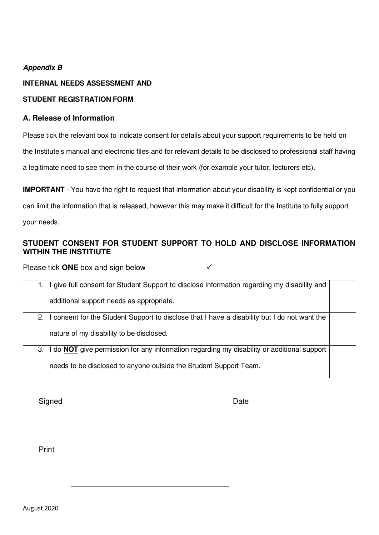# **Appendix B**

#### **INTERNAL NEEDS ASSESSMENT AND**

# **STUDENT REGISTRATION FORM**

### **A. Release of Information**

Please tick the relevant box to indicate consent for details about your support requirements to be held on

the Institute's manual and electronic files and for relevant details to be disclosed to professional staff having

a legitimate need to see them in the course of their work (for example your tutor, lecturers etc).

**IMPORTANT** - You have the right to request that information about your disability is kept confidential or you

can limit the information that is released, however this may make it difficult for the Institute to fully support

your needs.

# **STUDENT CONSENT FOR STUDENT SUPPORT TO HOLD AND DISCLOSE INFORMATION WITHIN THE INSTITIUTE**

Please tick ONE box and sign below **✓** 

| I give full consent for Student Support to disclose information regarding my disability and        |  |
|----------------------------------------------------------------------------------------------------|--|
| additional support needs as appropriate.                                                           |  |
| I consent for the Student Support to disclose that I have a disability but I do not want the<br>2. |  |
| nature of my disability to be disclosed.                                                           |  |
| 3. I do NOT give permission for any information regarding my disability or additional support      |  |
| needs to be disclosed to anyone outside the Student Support Team.                                  |  |

Signed Date **Date** 

Print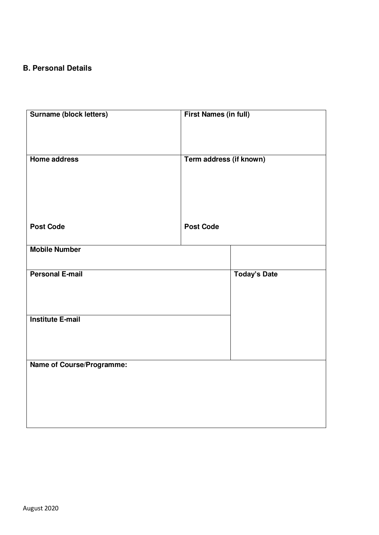# **B. Personal Details**

| <b>Surname (block letters)</b> | <b>First Names (in full)</b> |
|--------------------------------|------------------------------|
|                                |                              |
| <b>Home address</b>            | Term address (if known)      |
|                                |                              |
|                                |                              |
| <b>Post Code</b>               | <b>Post Code</b>             |
| <b>Mobile Number</b>           |                              |
| <b>Personal E-mail</b>         | <b>Today's Date</b>          |
|                                |                              |
| <b>Institute E-mail</b>        |                              |
|                                |                              |
| Name of Course/Programme:      |                              |
|                                |                              |
|                                |                              |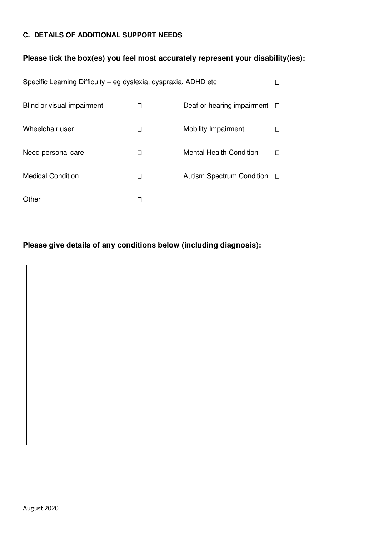# **C. DETAILS OF ADDITIONAL SUPPORT NEEDS**

# **Please tick the box(es) you feel most accurately represent your disability(ies):**

| Specific Learning Difficulty – eg dyslexia, dyspraxia, ADHD etc |   |                                  |        |
|-----------------------------------------------------------------|---|----------------------------------|--------|
| Blind or visual impairment                                      | П | Deaf or hearing impairment       | $\Box$ |
| Wheelchair user                                                 | П | Mobility Impairment              |        |
| Need personal care                                              | П | <b>Mental Health Condition</b>   |        |
| <b>Medical Condition</b>                                        | П | <b>Autism Spectrum Condition</b> |        |
| Other                                                           |   |                                  |        |

# **Please give details of any conditions below (including diagnosis):**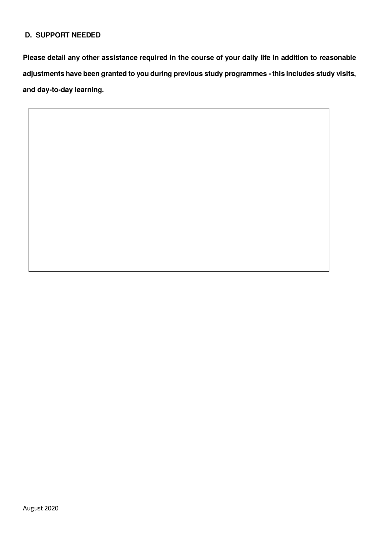# **D. SUPPORT NEEDED**

**Please detail any other assistance required in the course of your daily life in addition to reasonable adjustments have been granted to you during previous study programmes - this includes study visits, and day-to-day learning.**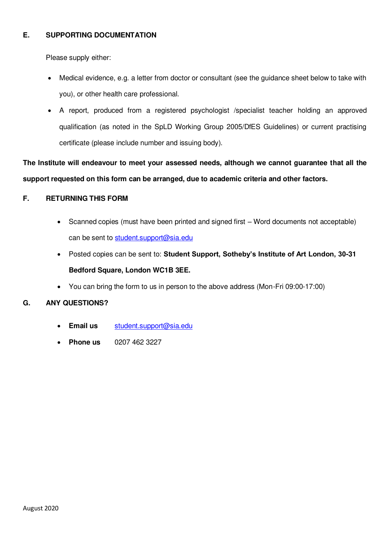# **E. SUPPORTING DOCUMENTATION**

Please supply either:

- Medical evidence, e.g. a letter from doctor or consultant (see the guidance sheet below to take with you), or other health care professional.
- A report, produced from a registered psychologist /specialist teacher holding an approved qualification (as noted in the SpLD Working Group 2005/DfES Guidelines) or current practising certificate (please include number and issuing body).

**The Institute will endeavour to meet your assessed needs, although we cannot guarantee that all the support requested on this form can be arranged, due to academic criteria and other factors.** 

# **F. RETURNING THIS FORM**

- Scanned copies (must have been printed and signed first Word documents not acceptable) can be sent to [student.support@sia.edu](mailto:student.support@sia.edu)
- Posted copies can be sent to: **Student Support, Sotheby's Institute of Art London, 30-31 Bedford Square, London WC1B 3EE.**
- You can bring the form to us in person to the above address (Mon-Fri 09:00-17:00)

# **G. ANY QUESTIONS?**

- **Email us** [student.support@sia.edu](mailto:student.support@sia.edu)
- **Phone us** 0207 462 3227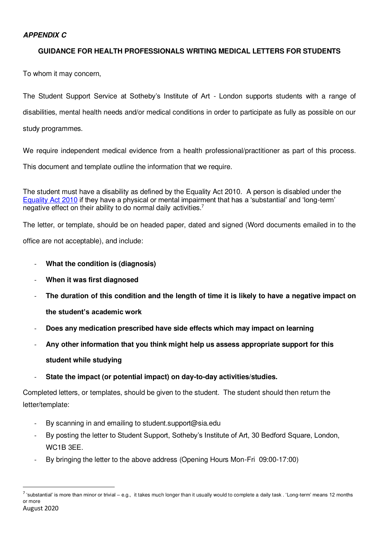# **APPENDIX C**

### **GUIDANCE FOR HEALTH PROFESSIONALS WRITING MEDICAL LETTERS FOR STUDENTS**

To whom it may concern,

The Student Support Service at Sotheby's Institute of Art - London supports students with a range of disabilities, mental health needs and/or medical conditions in order to participate as fully as possible on our study programmes.

We require independent medical evidence from a health professional/practitioner as part of this process. This document and template outline the information that we require.

The student must have a disability as defined by the Equality Act 2010. A person is disabled under the [Equality Act 2010](http://www.legislation.gov.uk/ukpga/2010/15/section/6) if they have a physical or mental impairment that has a 'substantial' and 'long-term' negative effect on their ability to do normal daily activities.<sup>7</sup>

The letter, or template, should be on headed paper, dated and signed (Word documents emailed in to the office are not acceptable), and include:

- **What the condition is (diagnosis)**
- **When it was first diagnosed**
- **The duration of this condition and the length of time it is likely to have a negative impact on the student's academic work**
- **Does any medication prescribed have side effects which may impact on learning**
- **Any other information that you think might help us assess appropriate support for this student while studying**
- **State the impact (or potential impact) on day-to-day activities/studies.**

Completed letters, or templates, should be given to the student. The student should then return the letter/template:

- By scanning in and emailing to student.support@sia.edu
- By posting the letter to Student Support, Sotheby's Institute of Art, 30 Bedford Square, London, WC1B 3EE.
- By bringing the letter to the above address (Opening Hours Mon-Fri 09:00-17:00)

 $^7$  'substantial' is more than minor or trivial – e.g., it takes much longer than it usually would to complete a daily task . 'Long-term' means 12 months or more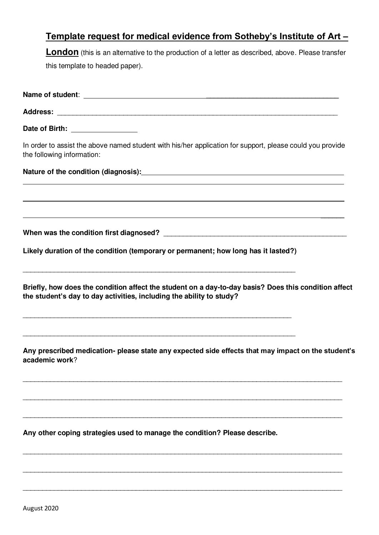# **Template request for medical evidence from Sotheby's Institute of Art –**

**London** (this is an alternative to the production of a letter as described, above. Please transfer this template to headed paper).

| Date of Birth: _________________                                                                                                                                             |
|------------------------------------------------------------------------------------------------------------------------------------------------------------------------------|
| In order to assist the above named student with his/her application for support, please could you provide<br>the following information:                                      |
|                                                                                                                                                                              |
| ,我们也不会有什么。""我们的人,我们也不会有什么?""我们的人,我们也不会有什么?""我们的人,我们也不会有什么?""我们的人,我们也不会有什么?""我们的人                                                                                             |
|                                                                                                                                                                              |
| Likely duration of the condition (temporary or permanent; how long has it lasted?)                                                                                           |
| Briefly, how does the condition affect the student on a day-to-day basis? Does this condition affect<br>the student's day to day activities, including the ability to study? |
| Any prescribed medication- please state any expected side effects that may impact on the student's<br>academic work?                                                         |
|                                                                                                                                                                              |
| Any other coping strategies used to manage the condition? Please describe.                                                                                                   |
|                                                                                                                                                                              |
|                                                                                                                                                                              |
|                                                                                                                                                                              |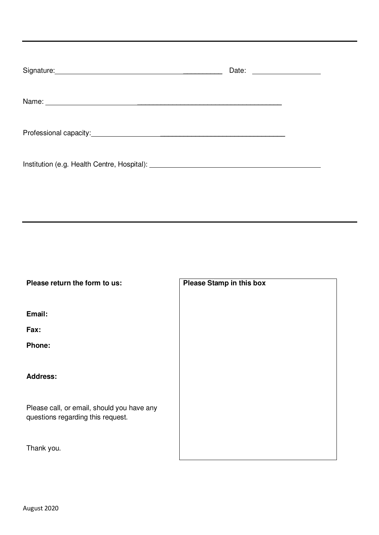| Signature: Management Communication of the Communication of the Communication of the Communication of the Communication of the Communication of the Communication of the Communication of the Communication of the Communicati | Date: ___________________ |  |
|--------------------------------------------------------------------------------------------------------------------------------------------------------------------------------------------------------------------------------|---------------------------|--|
|                                                                                                                                                                                                                                |                           |  |
|                                                                                                                                                                                                                                |                           |  |
| Institution (e.g. Health Centre, Hospital): Letter and the control of the control of the control of the control of the control of the control of the control of the control of the control of the control of the control of th |                           |  |

| Please return the form to us:                                                   | <b>Please Stamp in this box</b> |
|---------------------------------------------------------------------------------|---------------------------------|
| Email:                                                                          |                                 |
| Fax:                                                                            |                                 |
| <b>Phone:</b>                                                                   |                                 |
| <b>Address:</b>                                                                 |                                 |
| Please call, or email, should you have any<br>questions regarding this request. |                                 |
| Thank you.                                                                      |                                 |